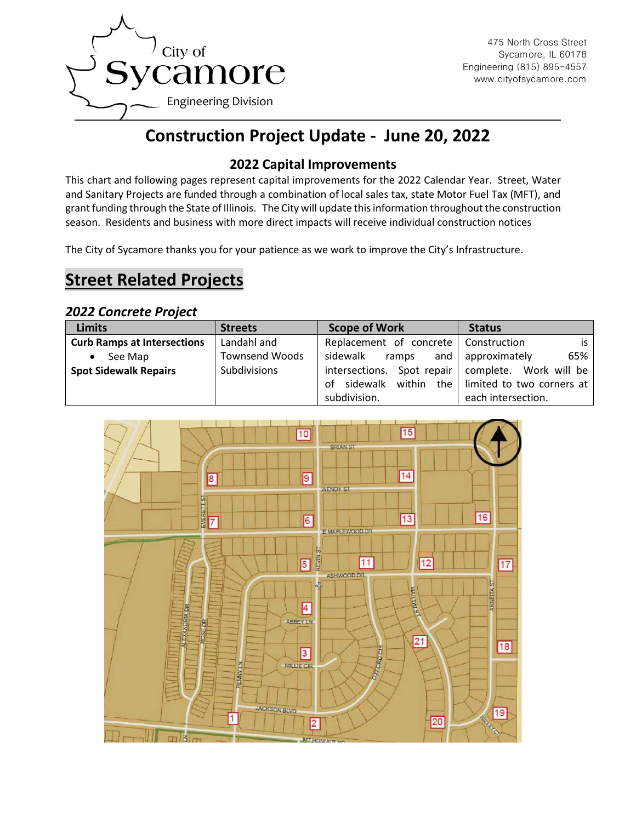

# **Construction Project Update - June 20, 2022**

### **2022 Capital Improvements**

This chart and following pages represent capital improvements for the 2022 Calendar Year. Street, Water and Sanitary Projects are funded through a combination of local sales tax, state Motor Fuel Tax (MFT), and grant funding through the State of Illinois. The City will update this information throughout the construction season. Residents and business with more direct impacts will receive individual construction notices

The City of Sycamore thanks you for your patience as we work to improve the City's Infrastructure.

## **Street Related Projects**

### *2022 Concrete Project*

| <b>Limits</b>                      | <b>Streets</b>        | <b>Scope of Work</b>                   | <b>Status</b>             |
|------------------------------------|-----------------------|----------------------------------------|---------------------------|
| <b>Curb Ramps at Intersections</b> | Landahl and           | Replacement of concrete   Construction | is l                      |
| See Map<br>$\bullet$               | <b>Townsend Woods</b> | sidewalk<br>and<br>ramps               | 65%<br>approximately      |
| <b>Spot Sidewalk Repairs</b>       | Subdivisions          | intersections. Spot repair             | complete. Work will be    |
|                                    |                       | within<br>the I<br>sidewalk<br>Ωt      | limited to two corners at |
|                                    |                       | subdivision.<br>each intersection.     |                           |

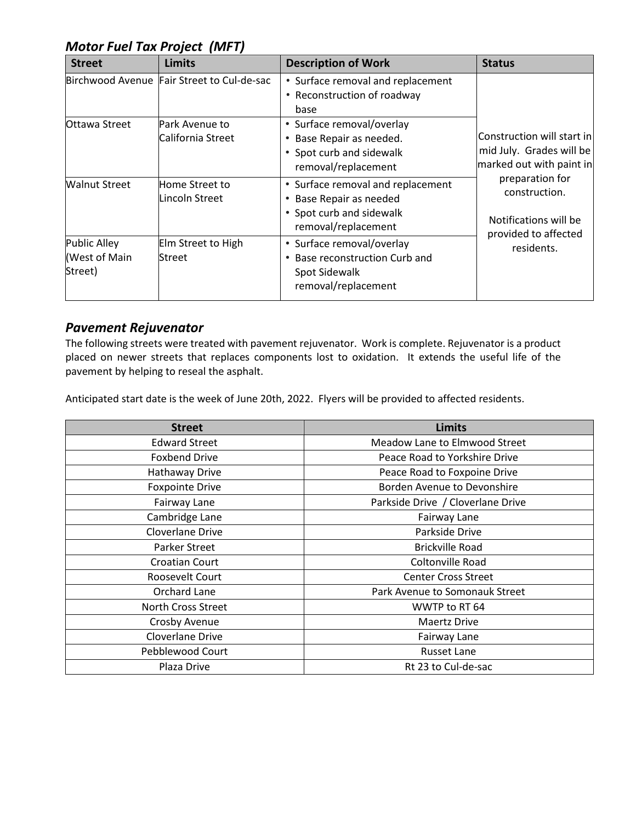## *Motor Fuel Tax Project (MFT)*

| <b>Street</b>                                   | <b>Limits</b>                              | <b>Description of Work</b>                                                                                         | <b>Status</b>                                                                                                                                                                         |
|-------------------------------------------------|--------------------------------------------|--------------------------------------------------------------------------------------------------------------------|---------------------------------------------------------------------------------------------------------------------------------------------------------------------------------------|
|                                                 | Birchwood Avenue Fair Street to Cul-de-sac | • Surface removal and replacement<br>Reconstruction of roadway<br>$\bullet$<br>base                                | Construction will start in<br>mid July. Grades will be<br>marked out with paint in<br>preparation for<br>construction.<br>Notifications will be<br>provided to affected<br>residents. |
| Ottawa Street                                   | Park Avenue to<br>California Street        | • Surface removal/overlay<br>Base Repair as needed.<br>٠<br>• Spot curb and sidewalk<br>removal/replacement        |                                                                                                                                                                                       |
| <b>Walnut Street</b>                            | Home Street to<br>Lincoln Street           | • Surface removal and replacement<br>Base Repair as needed<br>٠<br>• Spot curb and sidewalk<br>removal/replacement |                                                                                                                                                                                       |
| <b>Public Alley</b><br>(West of Main<br>Street) | Elm Street to High<br>Street               | • Surface removal/overlay<br>Base reconstruction Curb and<br>٠<br>Spot Sidewalk<br>removal/replacement             |                                                                                                                                                                                       |

### *Pavement Rejuvenator*

The following streets were treated with pavement rejuvenator. Work is complete. Rejuvenator is a product placed on newer streets that replaces components lost to oxidation. It extends the useful life of the pavement by helping to reseal the asphalt.

Anticipated start date is the week of June 20th, 2022. Flyers will be provided to affected residents.

| <b>Street</b>             | <b>Limits</b>                     |
|---------------------------|-----------------------------------|
| <b>Edward Street</b>      | Meadow Lane to Elmwood Street     |
| <b>Foxbend Drive</b>      | Peace Road to Yorkshire Drive     |
| Hathaway Drive            | Peace Road to Foxpoine Drive      |
| <b>Foxpointe Drive</b>    | Borden Avenue to Devonshire       |
| Fairway Lane              | Parkside Drive / Cloverlane Drive |
| Cambridge Lane            | Fairway Lane                      |
| Cloverlane Drive          | Parkside Drive                    |
| Parker Street             | <b>Brickville Road</b>            |
| Croatian Court            | Coltonville Road                  |
| Roosevelt Court           | <b>Center Cross Street</b>        |
| Orchard Lane              | Park Avenue to Somonauk Street    |
| <b>North Cross Street</b> | WWTP to RT 64                     |
| Crosby Avenue             | Maertz Drive                      |
| Cloverlane Drive          | Fairway Lane                      |
| Pebblewood Court          | <b>Russet Lane</b>                |
| Plaza Drive               | Rt 23 to Cul-de-sac               |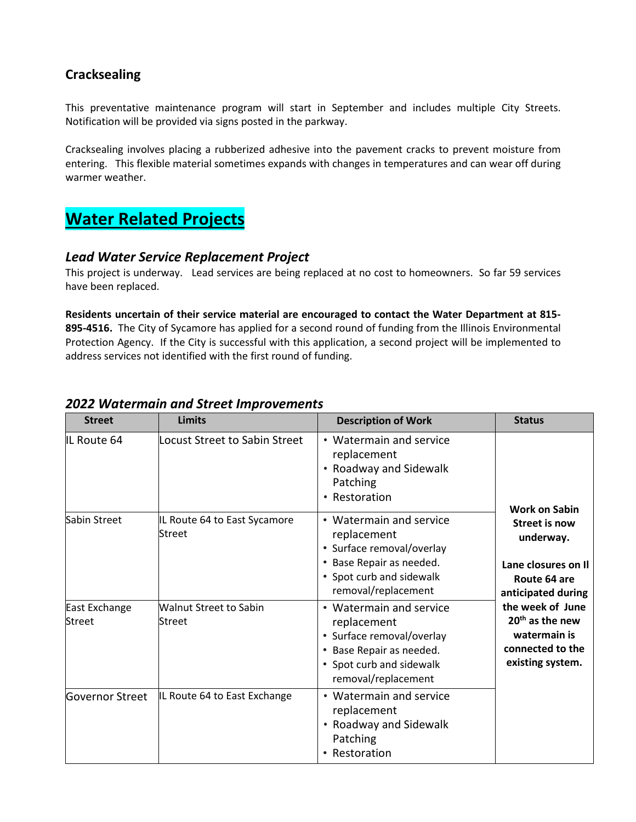### **Cracksealing**

This preventative maintenance program will start in September and includes multiple City Streets. Notification will be provided via signs posted in the parkway.

Cracksealing involves placing a rubberized adhesive into the pavement cracks to prevent moisture from entering. This flexible material sometimes expands with changes in temperatures and can wear off during warmer weather.

## **Water Related Projects**

#### *Lead Water Service Replacement Project*

This project is underway. Lead services are being replaced at no cost to homeowners. So far 59 services have been replaced.

**Residents uncertain of their service material are encouraged to contact the Water Department at 815- 895-4516.** The City of Sycamore has applied for a second round of funding from the Illinois Environmental Protection Agency. If the City is successful with this application, a second project will be implemented to address services not identified with the first round of funding.

| <b>Street</b>                  | <b>Limits</b>                           | <b>Description of Work</b>                                                                                                                         | <b>Status</b>                                                                                                                                                                                                                     |
|--------------------------------|-----------------------------------------|----------------------------------------------------------------------------------------------------------------------------------------------------|-----------------------------------------------------------------------------------------------------------------------------------------------------------------------------------------------------------------------------------|
| IL Route 64                    | Locust Street to Sabin Street           | • Watermain and service<br>replacement<br>• Roadway and Sidewalk<br>Patching<br>• Restoration                                                      | <b>Work on Sabin</b><br><b>Street is now</b><br>underway.<br>Lane closures on Il<br>Route 64 are<br>anticipated during<br>the week of June<br>20 <sup>th</sup> as the new<br>watermain is<br>connected to the<br>existing system. |
| Sabin Street                   | IL Route 64 to East Sycamore<br>Street  | • Watermain and service<br>replacement<br>• Surface removal/overlay<br>• Base Repair as needed.<br>• Spot curb and sidewalk<br>removal/replacement |                                                                                                                                                                                                                                   |
| East Exchange<br><b>Street</b> | <b>Walnut Street to Sabin</b><br>Street | • Watermain and service<br>replacement<br>• Surface removal/overlay<br>• Base Repair as needed.<br>• Spot curb and sidewalk<br>removal/replacement |                                                                                                                                                                                                                                   |
| Governor Street                | IL Route 64 to East Exchange            | • Watermain and service<br>replacement<br>• Roadway and Sidewalk<br>Patching<br>• Restoration                                                      |                                                                                                                                                                                                                                   |

### *2022 Watermain and Street Improvements*